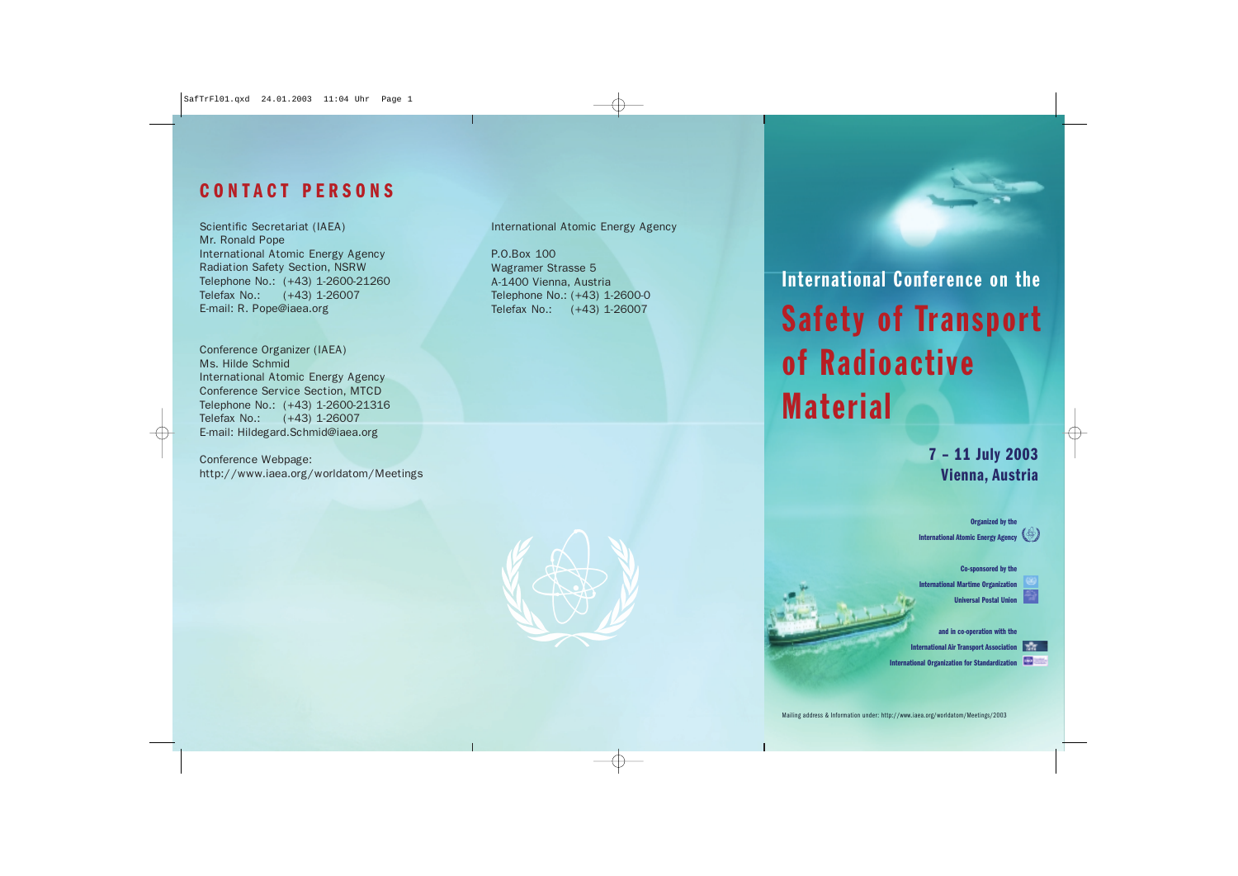## **CONTACT PERSONS**

Scientific Secretariat (IAEA) Mr. Ronald Pope International Atomic Energy Agency Radiation Safety Section, NSRW Telephone No.: (+43) 1-2600-21260 Telefax No.: (+43) 1-26007 E-mail: R. Pope@iaea.org

Conference Organizer (IAEA) Ms. Hilde Schmid International Atomic Energy Agency Conference Service Section, MTCD Telephone No.: (+43) 1-2600-21316 Telefax No.: (+43) 1-26007 E-mail: Hildegard.Schmid@iaea.org

Conference Webpage: http://www.iaea.org/worldatom/Meetings International Atomic Energy Agency

P.O.Box 100 Wagramer Strasse 5 A-1400 Vienna, Austria Telephone No.: (+43) 1-2600-0 Telefax No.: (+43) 1-26007



International Conference on the Safety of Transport of Radioactive Material

### **7 – 11 July 2003 Vienna, Austria**

**Organized by the International Atomic Energy Agency**

**Co-sponsored by the International Martime Organization** 

**Universal Postal Uni** 

**and in co-operation with the**

**International Air Transport Association**

**International Organization for Standardization**